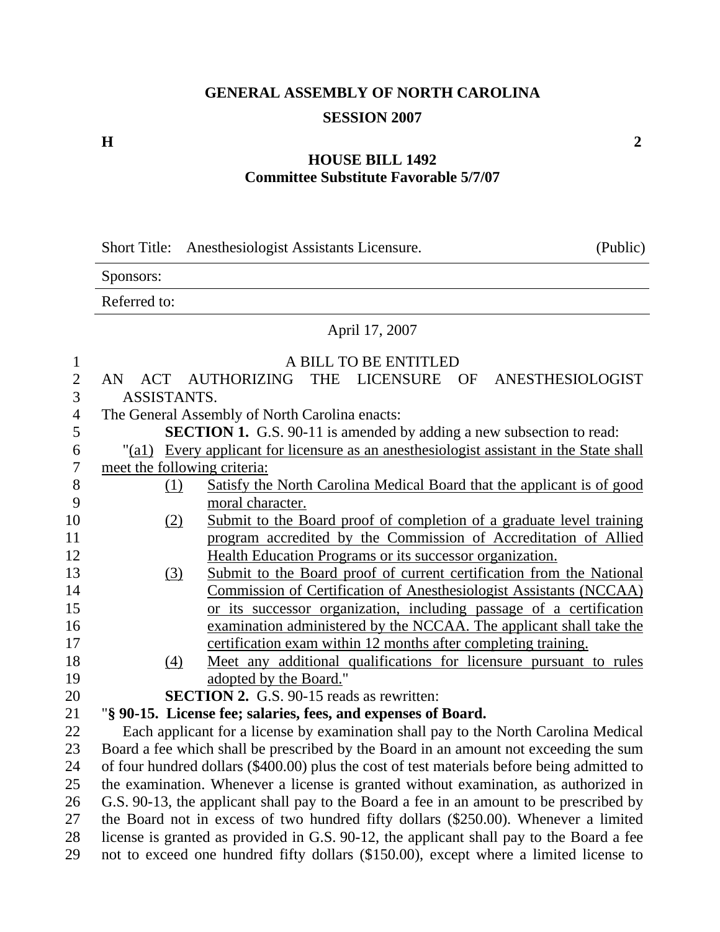## **GENERAL ASSEMBLY OF NORTH CAROLINA SESSION 2007**

## **H** 2

## **HOUSE BILL 1492 Committee Substitute Favorable 5/7/07**

|                          | (Public)<br>Short Title: Anesthesiologist Assistants Licensure.                             |  |  |  |
|--------------------------|---------------------------------------------------------------------------------------------|--|--|--|
|                          | Sponsors:                                                                                   |  |  |  |
|                          | Referred to:                                                                                |  |  |  |
|                          | April 17, 2007                                                                              |  |  |  |
| $\mathbf{1}$             | A BILL TO BE ENTITLED                                                                       |  |  |  |
| $\overline{2}$           | <b>AUTHORIZING</b><br>THE LICENSURE<br><b>ACT</b><br>OF<br>ANESTHESIOLOGIST<br>AN           |  |  |  |
| $\overline{3}$           | ASSISTANTS.                                                                                 |  |  |  |
| $\overline{\mathcal{A}}$ | The General Assembly of North Carolina enacts:                                              |  |  |  |
| 5                        | <b>SECTION 1.</b> G.S. 90-11 is amended by adding a new subsection to read:                 |  |  |  |
| 6                        | Every applicant for licensure as an anesthesiologist assistant in the State shall<br>"(a1)  |  |  |  |
| 7                        | meet the following criteria:                                                                |  |  |  |
| 8                        | Satisfy the North Carolina Medical Board that the applicant is of good<br>(1)               |  |  |  |
| 9                        | moral character.                                                                            |  |  |  |
| 10                       | Submit to the Board proof of completion of a graduate level training<br>(2)                 |  |  |  |
| 11                       | program accredited by the Commission of Accreditation of Allied                             |  |  |  |
| 12                       | Health Education Programs or its successor organization.                                    |  |  |  |
| 13                       | Submit to the Board proof of current certification from the National<br>(3)                 |  |  |  |
| 14                       | Commission of Certification of Anesthesiologist Assistants (NCCAA)                          |  |  |  |
| 15                       | or its successor organization, including passage of a certification                         |  |  |  |
| 16                       | examination administered by the NCCAA. The applicant shall take the                         |  |  |  |
| 17                       | certification exam within 12 months after completing training.                              |  |  |  |
| 18                       | Meet any additional qualifications for licensure pursuant to rules<br>(4)                   |  |  |  |
| 19<br>20                 | adopted by the Board."<br><b>SECTION 2.</b> G.S. 90-15 reads as rewritten:                  |  |  |  |
| 21                       | "§ 90-15. License fee; salaries, fees, and expenses of Board.                               |  |  |  |
| 22                       | Each applicant for a license by examination shall pay to the North Carolina Medical         |  |  |  |
| 23                       | Board a fee which shall be prescribed by the Board in an amount not exceeding the sum       |  |  |  |
| 24                       | of four hundred dollars (\$400.00) plus the cost of test materials before being admitted to |  |  |  |
| 25                       | the examination. Whenever a license is granted without examination, as authorized in        |  |  |  |
| 26                       | G.S. 90-13, the applicant shall pay to the Board a fee in an amount to be prescribed by     |  |  |  |
| 27                       | the Board not in excess of two hundred fifty dollars (\$250.00). Whenever a limited         |  |  |  |
| 28                       | license is granted as provided in G.S. 90-12, the applicant shall pay to the Board a fee    |  |  |  |
| 29                       | not to exceed one hundred fifty dollars (\$150.00), except where a limited license to       |  |  |  |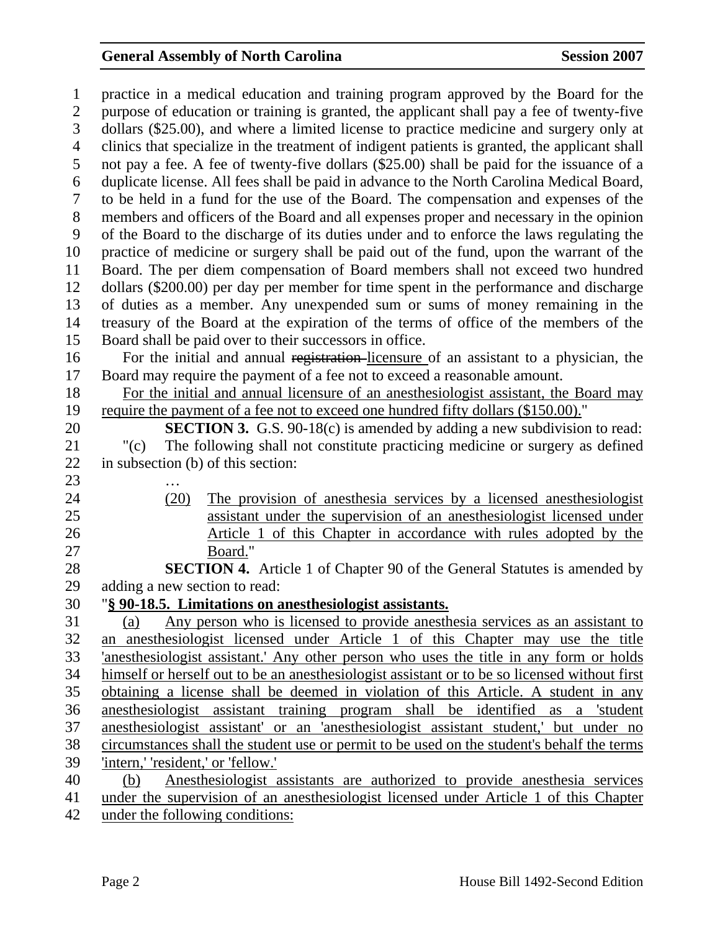## General Assembly of North Carolina **Session 2007**

1 practice in a medical education and training program approved by the Board for the 2 purpose of education or training is granted, the applicant shall pay a fee of twenty-five 3 dollars (\$25.00), and where a limited license to practice medicine and surgery only at 4 clinics that specialize in the treatment of indigent patients is granted, the applicant shall 5 not pay a fee. A fee of twenty-five dollars (\$25.00) shall be paid for the issuance of a 6 duplicate license. All fees shall be paid in advance to the North Carolina Medical Board, 7 to be held in a fund for the use of the Board. The compensation and expenses of the 8 members and officers of the Board and all expenses proper and necessary in the opinion 9 of the Board to the discharge of its duties under and to enforce the laws regulating the 10 practice of medicine or surgery shall be paid out of the fund, upon the warrant of the 11 Board. The per diem compensation of Board members shall not exceed two hundred 12 dollars (\$200.00) per day per member for time spent in the performance and discharge 13 of duties as a member. Any unexpended sum or sums of money remaining in the 14 treasury of the Board at the expiration of the terms of office of the members of the 15 Board shall be paid over to their successors in office. 16 For the initial and annual registration licensure of an assistant to a physician, the 17 Board may require the payment of a fee not to exceed a reasonable amount. 18 For the initial and annual licensure of an anesthesiologist assistant, the Board may 19 require the payment of a fee not to exceed one hundred fifty dollars (\$150.00)." 20 **SECTION 3.** G.S. 90-18(c) is amended by adding a new subdivision to read: 21 "(c) The following shall not constitute practicing medicine or surgery as defined 22 in subsection (b) of this section: 23 … 24 (20) The provision of anesthesia services by a licensed anesthesiologist 25 assistant under the supervision of an anesthesiologist licensed under 26 Article 1 of this Chapter in accordance with rules adopted by the 27 Board." 28 **SECTION 4.** Article 1 of Chapter 90 of the General Statutes is amended by 29 adding a new section to read: 30 "**§ 90-18.5. Limitations on anesthesiologist assistants.** 31 (a) Any person who is licensed to provide anesthesia services as an assistant to 32 an anesthesiologist licensed under Article 1 of this Chapter may use the title 33 'anesthesiologist assistant.' Any other person who uses the title in any form or holds 34 himself or herself out to be an anesthesiologist assistant or to be so licensed without first 35 obtaining a license shall be deemed in violation of this Article. A student in any 36 anesthesiologist assistant training program shall be identified as a 'student 37 anesthesiologist assistant' or an 'anesthesiologist assistant student,' but under no 38 circumstances shall the student use or permit to be used on the student's behalf the terms 39 'intern,' 'resident,' or 'fellow.' 40 (b) Anesthesiologist assistants are authorized to provide anesthesia services 41 under the supervision of an anesthesiologist licensed under Article 1 of this Chapter